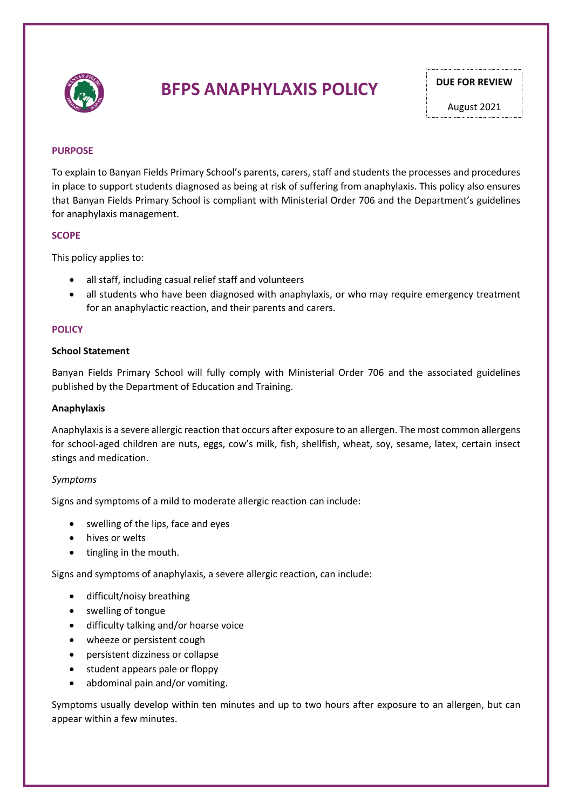

## **BFPS ANAPHYLAXIS POLICY** DUE FOR REVIEW

August 2021

#### **PURPOSE**

To explain to Banyan Fields Primary School's parents, carers, staff and students the processes and procedures in place to support students diagnosed as being at risk of suffering from anaphylaxis. This policy also ensures that Banyan Fields Primary School is compliant with Ministerial Order 706 and the Department's guidelines for anaphylaxis management.

#### **SCOPE**

This policy applies to:

- all staff, including casual relief staff and volunteers
- all students who have been diagnosed with anaphylaxis, or who may require emergency treatment for an anaphylactic reaction, and their parents and carers.

#### **POLICY**

#### **School Statement**

Banyan Fields Primary School will fully comply with Ministerial Order 706 and the associated guidelines published by the Department of Education and Training.

#### **Anaphylaxis**

Anaphylaxis is a severe allergic reaction that occurs after exposure to an allergen. The most common allergens for school-aged children are nuts, eggs, cow's milk, fish, shellfish, wheat, soy, sesame, latex, certain insect stings and medication.

#### *Symptoms*

Signs and symptoms of a mild to moderate allergic reaction can include:

- swelling of the lips, face and eyes
- hives or welts
- tingling in the mouth.

Signs and symptoms of anaphylaxis, a severe allergic reaction, can include:

- difficult/noisy breathing
- swelling of tongue
- difficulty talking and/or hoarse voice
- wheeze or persistent cough
- persistent dizziness or collapse
- student appears pale or floppy
- abdominal pain and/or vomiting.

Symptoms usually develop within ten minutes and up to two hours after exposure to an allergen, but can appear within a few minutes.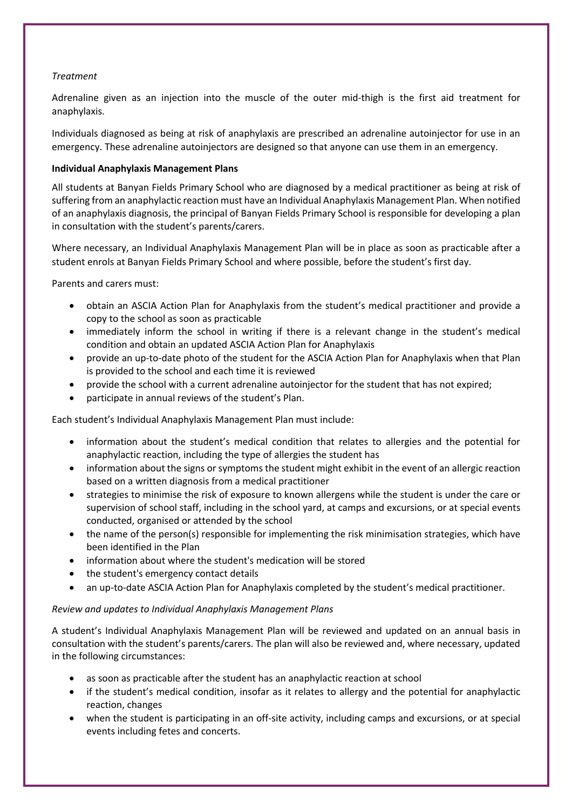#### *Treatment*

Adrenaline given as an injection into the muscle of the outer mid-thigh is the first aid treatment for anaphylaxis.

Individuals diagnosed as being at risk of anaphylaxis are prescribed an adrenaline autoinjector for use in an emergency. These adrenaline autoinjectors are designed so that anyone can use them in an emergency.

#### **Individual Anaphylaxis Management Plans**

All students at Banyan Fields Primary School who are diagnosed by a medical practitioner as being at risk of suffering from an anaphylactic reaction must have an Individual Anaphylaxis Management Plan. When notified of an anaphylaxis diagnosis, the principal of Banyan Fields Primary School is responsible for developing a plan in consultation with the student's parents/carers.

Where necessary, an Individual Anaphylaxis Management Plan will be in place as soon as practicable after a student enrols at Banyan Fields Primary School and where possible, before the student's first day.

Parents and carers must:

- obtain an ASCIA Action Plan for Anaphylaxis from the student's medical practitioner and provide a copy to the school as soon as practicable
- immediately inform the school in writing if there is a relevant change in the student's medical condition and obtain an updated ASCIA Action Plan for Anaphylaxis
- provide an up-to-date photo of the student for the ASCIA Action Plan for Anaphylaxis when that Plan is provided to the school and each time it is reviewed
- provide the school with a current adrenaline autoinjector for the student that has not expired;
- participate in annual reviews of the student's Plan.

Each student's Individual Anaphylaxis Management Plan must include:

- information about the student's medical condition that relates to allergies and the potential for anaphylactic reaction, including the type of allergies the student has
- information about the signs or symptoms the student might exhibit in the event of an allergic reaction based on a written diagnosis from a medical practitioner
- strategies to minimise the risk of exposure to known allergens while the student is under the care or supervision of school staff, including in the school yard, at camps and excursions, or at special events conducted, organised or attended by the school
- the name of the person(s) responsible for implementing the risk minimisation strategies, which have been identified in the Plan
- information about where the student's medication will be stored
- the student's emergency contact details
- an up-to-date ASCIA Action Plan for Anaphylaxis completed by the student's medical practitioner.

#### *Review and updates to Individual Anaphylaxis Management Plans*

A student's Individual Anaphylaxis Management Plan will be reviewed and updated on an annual basis in consultation with the student's parents/carers. The plan will also be reviewed and, where necessary, updated in the following circumstances:

- as soon as practicable after the student has an anaphylactic reaction at school
- if the student's medical condition, insofar as it relates to allergy and the potential for anaphylactic reaction, changes
- when the student is participating in an off-site activity, including camps and excursions, or at special events including fetes and concerts.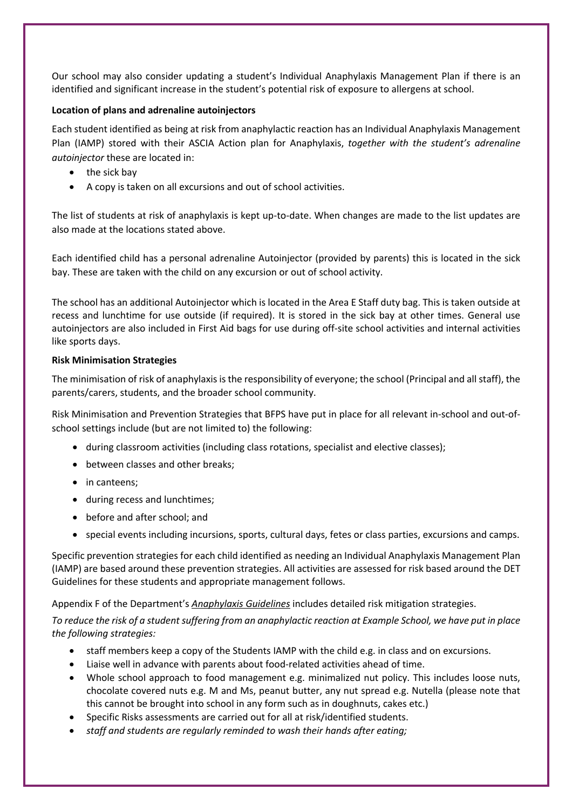Our school may also consider updating a student's Individual Anaphylaxis Management Plan if there is an identified and significant increase in the student's potential risk of exposure to allergens at school.

#### **Location of plans and adrenaline autoinjectors**

Each student identified as being at risk from anaphylactic reaction has an Individual Anaphylaxis Management Plan (IAMP) stored with their ASCIA Action plan for Anaphylaxis, *together with the student's adrenaline autoinjector* these are located in:

- the sick bay
- A copy is taken on all excursions and out of school activities.

The list of students at risk of anaphylaxis is kept up-to-date. When changes are made to the list updates are also made at the locations stated above.

Each identified child has a personal adrenaline Autoinjector (provided by parents) this is located in the sick bay. These are taken with the child on any excursion or out of school activity.

The school has an additional Autoinjector which is located in the Area E Staff duty bag. This is taken outside at recess and lunchtime for use outside (if required). It is stored in the sick bay at other times. General use autoinjectors are also included in First Aid bags for use during off-site school activities and internal activities like sports days.

#### **Risk Minimisation Strategies**

The minimisation of risk of anaphylaxis is the responsibility of everyone; the school (Principal and all staff), the parents/carers, students, and the broader school community.

Risk Minimisation and Prevention Strategies that BFPS have put in place for all relevant in-school and out-ofschool settings include (but are not limited to) the following:

- during classroom activities (including class rotations, specialist and elective classes);
- between classes and other breaks;
- in canteens;
- during recess and lunchtimes;
- before and after school; and
- special events including incursions, sports, cultural days, fetes or class parties, excursions and camps.

Specific prevention strategies for each child identified as needing an Individual Anaphylaxis Management Plan (IAMP) are based around these prevention strategies. All activities are assessed for risk based around the DET Guidelines for these students and appropriate management follows.

Appendix F of the Department's *Anaphylaxis Guidelines* includes detailed risk mitigation strategies.

*To reduce the risk of a student suffering from an anaphylactic reaction at Example School, we have put in place the following strategies:*

- staff members keep a copy of the Students IAMP with the child e.g. in class and on excursions.
- Liaise well in advance with parents about food-related activities ahead of time.
- Whole school approach to food management e.g. minimalized nut policy. This includes loose nuts, chocolate covered nuts e.g. M and Ms, peanut butter, any nut spread e.g. Nutella (please note that this cannot be brought into school in any form such as in doughnuts, cakes etc.)
- Specific Risks assessments are carried out for all at risk/identified students.
- *staff and students are regularly reminded to wash their hands after eating;*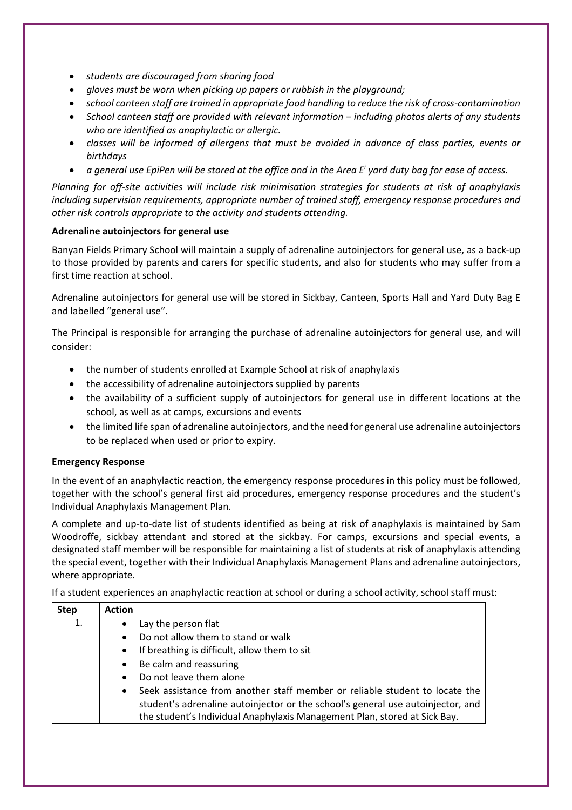- *students are discouraged from sharing food*
- *gloves must be worn when picking up papers or rubbish in the playground;*
- *school canteen staff are trained in appropriate food handling to reduce the risk of cross-contamination*
- *School canteen staff are provided with relevant information – including photos alerts of any students who are identified as anaphylactic or allergic.*
- *classes will be informed of allergens that must be avoided in advance of class parties, events or birthdays*
- *a general use EpiPen will be stored at the office and in the Area Ei yard duty bag for ease of access.*

*Planning for off-site activities will include risk minimisation strategies for students at risk of anaphylaxis including supervision requirements, appropriate number of trained staff, emergency response procedures and other risk controls appropriate to the activity and students attending.* 

#### **Adrenaline autoinjectors for general use**

Banyan Fields Primary School will maintain a supply of adrenaline autoinjectors for general use, as a back-up to those provided by parents and carers for specific students, and also for students who may suffer from a first time reaction at school.

Adrenaline autoinjectors for general use will be stored in Sickbay, Canteen, Sports Hall and Yard Duty Bag E and labelled "general use".

The Principal is responsible for arranging the purchase of adrenaline autoinjectors for general use, and will consider:

- the number of students enrolled at Example School at risk of anaphylaxis
- the accessibility of adrenaline autoinjectors supplied by parents
- the availability of a sufficient supply of autoinjectors for general use in different locations at the school, as well as at camps, excursions and events
- the limited life span of adrenaline autoinjectors, and the need for general use adrenaline autoinjectors to be replaced when used or prior to expiry.

#### **Emergency Response**

In the event of an anaphylactic reaction, the emergency response procedures in this policy must be followed, together with the school's general first aid procedures, emergency response procedures and the student's Individual Anaphylaxis Management Plan.

A complete and up-to-date list of students identified as being at risk of anaphylaxis is maintained by Sam Woodroffe, sickbay attendant and stored at the sickbay. For camps, excursions and special events, a designated staff member will be responsible for maintaining a list of students at risk of anaphylaxis attending the special event, together with their Individual Anaphylaxis Management Plans and adrenaline autoinjectors, where appropriate.

If a student experiences an anaphylactic reaction at school or during a school activity, school staff must:

| <b>Step</b> | <b>Action</b>                                                                            |
|-------------|------------------------------------------------------------------------------------------|
| 1.          | Lay the person flat<br>$\bullet$                                                         |
|             | Do not allow them to stand or walk<br>$\bullet$                                          |
|             | If breathing is difficult, allow them to sit<br>$\bullet$                                |
|             | Be calm and reassuring<br>$\bullet$                                                      |
|             | Do not leave them alone<br>$\bullet$                                                     |
|             | Seek assistance from another staff member or reliable student to locate the<br>$\bullet$ |
|             | student's adrenaline autoinjector or the school's general use autoinjector, and          |
|             | the student's Individual Anaphylaxis Management Plan, stored at Sick Bay.                |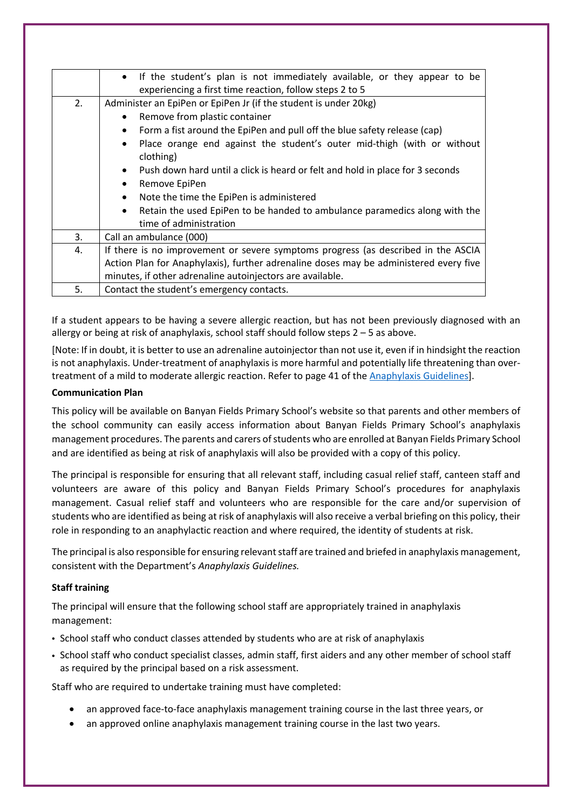|    | If the student's plan is not immediately available, or they appear to be<br>$\bullet$             |  |  |  |  |  |
|----|---------------------------------------------------------------------------------------------------|--|--|--|--|--|
|    | experiencing a first time reaction, follow steps 2 to 5                                           |  |  |  |  |  |
| 2. | Administer an EpiPen or EpiPen Jr (if the student is under 20kg)                                  |  |  |  |  |  |
|    | Remove from plastic container<br>$\bullet$                                                        |  |  |  |  |  |
|    | Form a fist around the EpiPen and pull off the blue safety release (cap)<br>٠                     |  |  |  |  |  |
|    | Place orange end against the student's outer mid-thigh (with or without<br>$\bullet$<br>clothing) |  |  |  |  |  |
|    | Push down hard until a click is heard or felt and hold in place for 3 seconds<br>$\bullet$        |  |  |  |  |  |
|    | Remove EpiPen<br>$\bullet$                                                                        |  |  |  |  |  |
|    | Note the time the EpiPen is administered<br>$\bullet$                                             |  |  |  |  |  |
|    | Retain the used EpiPen to be handed to ambulance paramedics along with the<br>$\bullet$           |  |  |  |  |  |
|    | time of administration                                                                            |  |  |  |  |  |
| 3. | Call an ambulance (000)                                                                           |  |  |  |  |  |
| 4. | If there is no improvement or severe symptoms progress (as described in the ASCIA                 |  |  |  |  |  |
|    | Action Plan for Anaphylaxis), further adrenaline doses may be administered every five             |  |  |  |  |  |
|    | minutes, if other adrenaline autoinjectors are available.                                         |  |  |  |  |  |
| 5. | Contact the student's emergency contacts.                                                         |  |  |  |  |  |

If a student appears to be having a severe allergic reaction, but has not been previously diagnosed with an allergy or being at risk of anaphylaxis, school staff should follow steps  $2 - 5$  as above.

[Note: If in doubt, it is better to use an adrenaline autoinjector than not use it, even if in hindsight the reaction is not anaphylaxis. Under-treatment of anaphylaxis is more harmful and potentially life threatening than overtreatment of a mild to moderate allergic reaction. Refer to page 41 of the Anaphylaxis Guidelines].

#### **Communication Plan**

This policy will be available on Banyan Fields Primary School's website so that parents and other members of the school community can easily access information about Banyan Fields Primary School's anaphylaxis management procedures. The parents and carers of students who are enrolled at Banyan Fields Primary School and are identified as being at risk of anaphylaxis will also be provided with a copy of this policy.

The principal is responsible for ensuring that all relevant staff, including casual relief staff, canteen staff and volunteers are aware of this policy and Banyan Fields Primary School's procedures for anaphylaxis management. Casual relief staff and volunteers who are responsible for the care and/or supervision of students who are identified as being at risk of anaphylaxis will also receive a verbal briefing on this policy, their role in responding to an anaphylactic reaction and where required, the identity of students at risk.

The principal is also responsible for ensuring relevant staff are trained and briefed in anaphylaxis management, consistent with the Department's *Anaphylaxis Guidelines.*

#### **Staff training**

The principal will ensure that the following school staff are appropriately trained in anaphylaxis management:

- School staff who conduct classes attended by students who are at risk of anaphylaxis
- School staff who conduct specialist classes, admin staff, first aiders and any other member of school staff as required by the principal based on a risk assessment.

Staff who are required to undertake training must have completed:

- an approved face-to-face anaphylaxis management training course in the last three years, or
- an approved online anaphylaxis management training course in the last two years.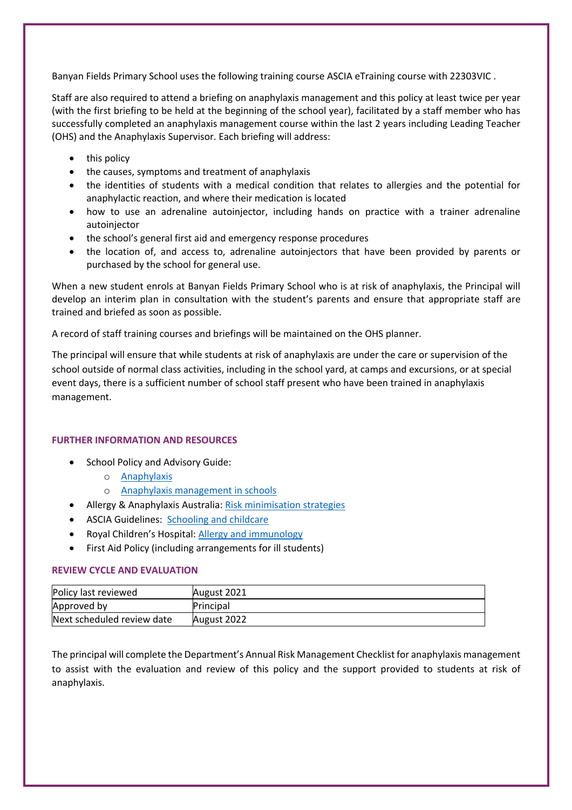Banyan Fields Primary School uses the following training course ASCIA eTraining course with 22303VIC .

Staff are also required to attend a briefing on anaphylaxis management and this policy at least twice per year (with the first briefing to be held at the beginning of the school year), facilitated by a staff member who has successfully completed an anaphylaxis management course within the last 2 years including Leading Teacher (OHS) and the Anaphylaxis Supervisor. Each briefing will address:

- this policy
- the causes, symptoms and treatment of anaphylaxis
- the identities of students with a medical condition that relates to allergies and the potential for anaphylactic reaction, and where their medication is located
- how to use an adrenaline autoinjector, including hands on practice with a trainer adrenaline autoinjector
- the school's general first aid and emergency response procedures
- the location of, and access to, adrenaline autoinjectors that have been provided by parents or purchased by the school for general use.

When a new student enrols at Banyan Fields Primary School who is at risk of anaphylaxis, the Principal will develop an interim plan in consultation with the student's parents and ensure that appropriate staff are trained and briefed as soon as possible.

A record of staff training courses and briefings will be maintained on the OHS planner.

The principal will ensure that while students at risk of anaphylaxis are under the care or supervision of the school outside of normal class activities, including in the school yard, at camps and excursions, or at special event days, there is a sufficient number of school staff present who have been trained in anaphylaxis management.

#### **FURTHER INFORMATION AND RESOURCES**

- School Policy and Advisory Guide:
	- o Anaphylaxis
	- o Anaphylaxis management in schools
- Allergy & Anaphylaxis Australia: Risk minimisation strategies
- ASCIA Guidelines: Schooling and childcare
- Royal Children's Hospital: Allergy and immunology
- First Aid Policy (including arrangements for ill students)

#### **REVIEW CYCLE AND EVALUATION**

| Policy last reviewed       | August 2021 |
|----------------------------|-------------|
| Approved by                | Principal   |
| Next scheduled review date | August 2022 |

The principal will complete the Department's Annual Risk Management Checklist for anaphylaxis management to assist with the evaluation and review of this policy and the support provided to students at risk of anaphylaxis.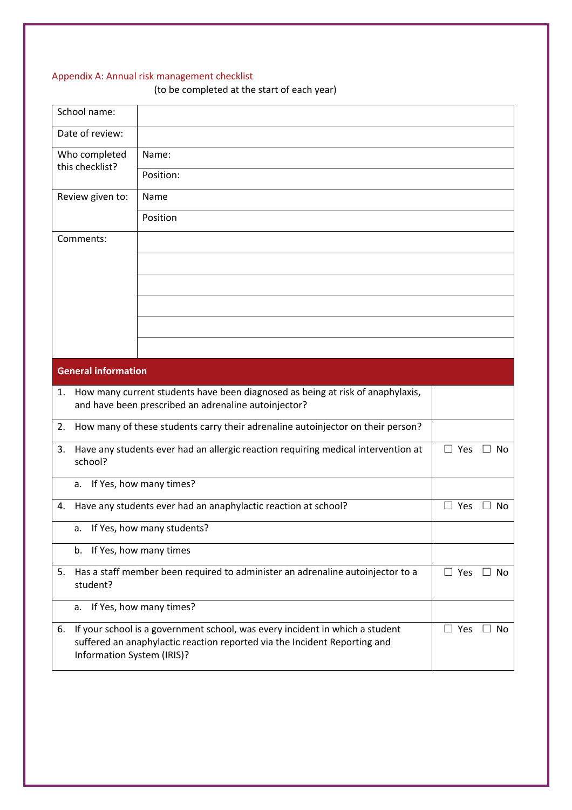### Appendix A: Annual risk management checklist

(to be completed at the start of each year)

| School name:                     |                                                                                                                                                           |            |              |
|----------------------------------|-----------------------------------------------------------------------------------------------------------------------------------------------------------|------------|--------------|
| Date of review:                  |                                                                                                                                                           |            |              |
| Who completed                    | Name:                                                                                                                                                     |            |              |
| this checklist?                  | Position:                                                                                                                                                 |            |              |
| Review given to:                 | Name                                                                                                                                                      |            |              |
|                                  | Position                                                                                                                                                  |            |              |
| Comments:                        |                                                                                                                                                           |            |              |
|                                  |                                                                                                                                                           |            |              |
|                                  |                                                                                                                                                           |            |              |
|                                  |                                                                                                                                                           |            |              |
|                                  |                                                                                                                                                           |            |              |
|                                  |                                                                                                                                                           |            |              |
| <b>General information</b>       |                                                                                                                                                           |            |              |
| 1.                               | How many current students have been diagnosed as being at risk of anaphylaxis,<br>and have been prescribed an adrenaline autoinjector?                    |            |              |
| 2.                               | How many of these students carry their adrenaline autoinjector on their person?                                                                           |            |              |
| 3.<br>school?                    | Have any students ever had an allergic reaction requiring medical intervention at                                                                         | $\Box$ Yes | $\Box$ No    |
| a.                               | If Yes, how many times?                                                                                                                                   |            |              |
| 4.                               | Have any students ever had an anaphylactic reaction at school?                                                                                            | $\Box$ Yes | No<br>$\Box$ |
|                                  | a. If Yes, how many students?                                                                                                                             |            |              |
| b.                               | If Yes, how many times                                                                                                                                    |            |              |
| 5.<br>student?                   | Has a staff member been required to administer an adrenaline autoinjector to a                                                                            | $\Box$ Yes | $\Box$ No    |
| a.                               | If Yes, how many times?                                                                                                                                   |            |              |
| 6.<br>Information System (IRIS)? | If your school is a government school, was every incident in which a student<br>suffered an anaphylactic reaction reported via the Incident Reporting and | $\Box$ Yes | $\Box$ No    |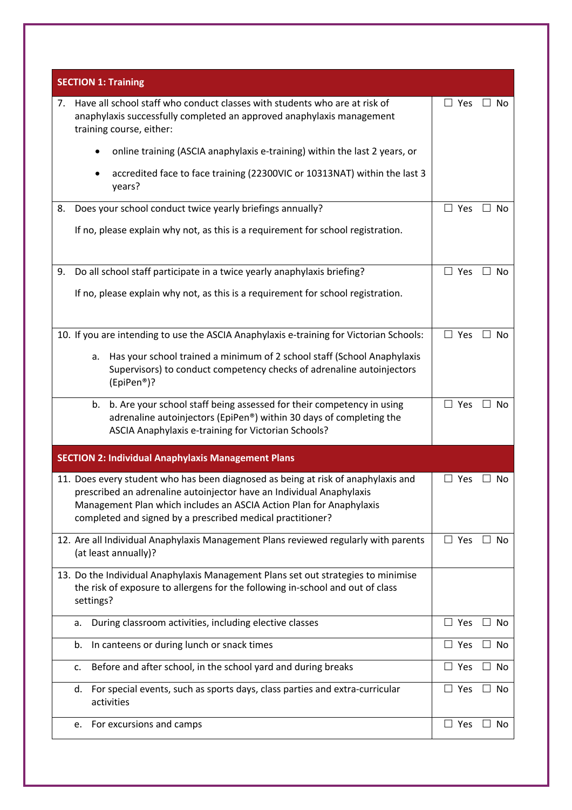| <b>SECTION 1: Training</b>                                                                                                                                                                                                                                                                     |                                            |
|------------------------------------------------------------------------------------------------------------------------------------------------------------------------------------------------------------------------------------------------------------------------------------------------|--------------------------------------------|
| Have all school staff who conduct classes with students who are at risk of<br>7.<br>anaphylaxis successfully completed an approved anaphylaxis management<br>training course, either:                                                                                                          | $\Box$ Yes<br>$\Box$ No                    |
| online training (ASCIA anaphylaxis e-training) within the last 2 years, or                                                                                                                                                                                                                     |                                            |
| accredited face to face training (22300VIC or 10313NAT) within the last 3<br>years?                                                                                                                                                                                                            |                                            |
| Does your school conduct twice yearly briefings annually?<br>8.                                                                                                                                                                                                                                | $\Box$ Yes<br>$\Box$ No                    |
| If no, please explain why not, as this is a requirement for school registration.                                                                                                                                                                                                               |                                            |
| Do all school staff participate in a twice yearly anaphylaxis briefing?<br>9.                                                                                                                                                                                                                  | $\Box$ Yes<br>$\Box$ No                    |
| If no, please explain why not, as this is a requirement for school registration.                                                                                                                                                                                                               |                                            |
| 10. If you are intending to use the ASCIA Anaphylaxis e-training for Victorian Schools:                                                                                                                                                                                                        | $\Box$ Yes<br>$\Box$ No                    |
| Has your school trained a minimum of 2 school staff (School Anaphylaxis<br>a.<br>Supervisors) to conduct competency checks of adrenaline autoinjectors<br>(EpiPen®)?                                                                                                                           |                                            |
| b. Are your school staff being assessed for their competency in using<br>b.<br>adrenaline autoinjectors (EpiPen®) within 30 days of completing the<br>ASCIA Anaphylaxis e-training for Victorian Schools?                                                                                      | $\Box$ Yes<br>$\Box$ No                    |
| <b>SECTION 2: Individual Anaphylaxis Management Plans</b>                                                                                                                                                                                                                                      |                                            |
| 11. Does every student who has been diagnosed as being at risk of anaphylaxis and<br>prescribed an adrenaline autoinjector have an Individual Anaphylaxis<br>Management Plan which includes an ASCIA Action Plan for Anaphylaxis<br>completed and signed by a prescribed medical practitioner? | $\Box$ Yes<br>No                           |
| 12. Are all Individual Anaphylaxis Management Plans reviewed regularly with parents<br>(at least annually)?                                                                                                                                                                                    | $\Box$ Yes<br>$\Box$ No                    |
| 13. Do the Individual Anaphylaxis Management Plans set out strategies to minimise<br>the risk of exposure to allergens for the following in-school and out of class<br>settings?                                                                                                               |                                            |
| During classroom activities, including elective classes<br>a.                                                                                                                                                                                                                                  | Yes<br>No                                  |
| In canteens or during lunch or snack times<br>b.                                                                                                                                                                                                                                               | $\Box$ Yes<br>No                           |
| Before and after school, in the school yard and during breaks<br>c.                                                                                                                                                                                                                            | Yes<br>No<br>$\Box$                        |
| For special events, such as sports days, class parties and extra-curricular<br>d.<br>activities                                                                                                                                                                                                | $\Box$ Yes<br>No<br>$\Box$                 |
| For excursions and camps<br>e.                                                                                                                                                                                                                                                                 | Yes<br>No<br>ш<br>$\overline{\phantom{a}}$ |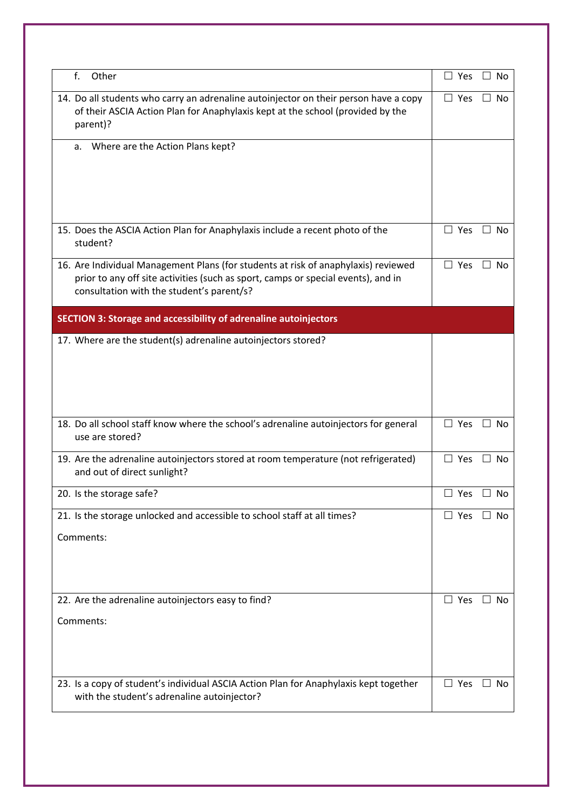| f.<br>Other                                                                                                                                                                                                          | $\Box$ Yes<br>$\Box$ No    |
|----------------------------------------------------------------------------------------------------------------------------------------------------------------------------------------------------------------------|----------------------------|
| 14. Do all students who carry an adrenaline autoinjector on their person have a copy<br>of their ASCIA Action Plan for Anaphylaxis kept at the school (provided by the<br>parent)?                                   | $\Box$ Yes<br>∐ No         |
| Where are the Action Plans kept?<br>a.                                                                                                                                                                               |                            |
|                                                                                                                                                                                                                      |                            |
| 15. Does the ASCIA Action Plan for Anaphylaxis include a recent photo of the<br>student?                                                                                                                             | $\Box$ Yes<br>- No         |
| 16. Are Individual Management Plans (for students at risk of anaphylaxis) reviewed<br>prior to any off site activities (such as sport, camps or special events), and in<br>consultation with the student's parent/s? | $\Box$ Yes<br>$\Box$ No    |
| <b>SECTION 3: Storage and accessibility of adrenaline autoinjectors</b>                                                                                                                                              |                            |
| 17. Where are the student(s) adrenaline autoinjectors stored?                                                                                                                                                        |                            |
| 18. Do all school staff know where the school's adrenaline autoinjectors for general<br>use are stored?                                                                                                              | $\Box$ Yes<br>$\Box$ No    |
| 19. Are the adrenaline autoinjectors stored at room temperature (not refrigerated)<br>and out of direct sunlight?                                                                                                    | $\Box$<br>Yes<br>$\Box$ No |
| 20. Is the storage safe?                                                                                                                                                                                             | $\Box$ Yes $\Box$ No       |
| 21. Is the storage unlocked and accessible to school staff at all times?                                                                                                                                             | $\Box$ Yes<br>$\Box$ No    |
| Comments:                                                                                                                                                                                                            |                            |
| 22. Are the adrenaline autoinjectors easy to find?                                                                                                                                                                   | $\Box$ Yes<br>$\Box$ No    |
| Comments:                                                                                                                                                                                                            |                            |
| 23. Is a copy of student's individual ASCIA Action Plan for Anaphylaxis kept together<br>with the student's adrenaline autoinjector?                                                                                 | $\Box$ Yes<br>$\Box$ No    |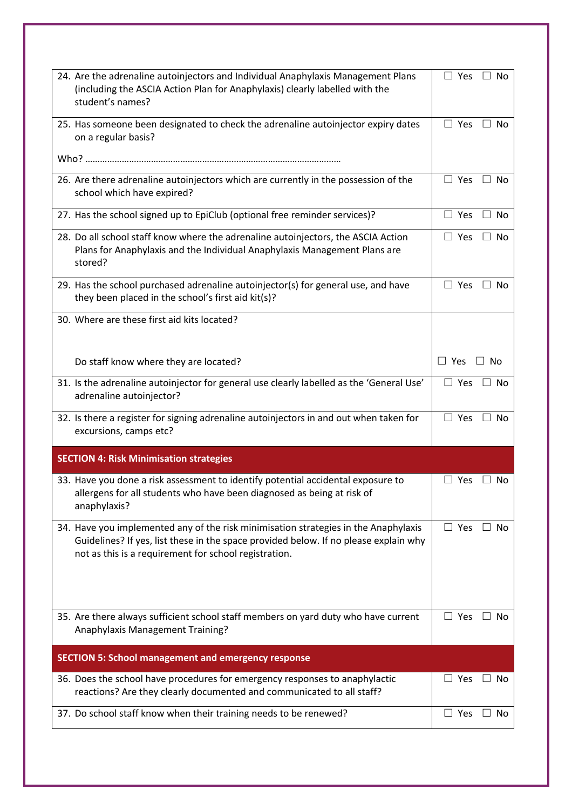| 24. Are the adrenaline autoinjectors and Individual Anaphylaxis Management Plans<br>(including the ASCIA Action Plan for Anaphylaxis) clearly labelled with the<br>student's names?                                                  | $\Box$ Yes<br>$\Box$ No     |
|--------------------------------------------------------------------------------------------------------------------------------------------------------------------------------------------------------------------------------------|-----------------------------|
| 25. Has someone been designated to check the adrenaline autoinjector expiry dates<br>on a regular basis?                                                                                                                             | $\Box$ Yes<br>$\Box$ No     |
|                                                                                                                                                                                                                                      |                             |
| 26. Are there adrenaline autoinjectors which are currently in the possession of the<br>school which have expired?                                                                                                                    | $\Box$ Yes<br>$\Box$ No     |
| 27. Has the school signed up to EpiClub (optional free reminder services)?                                                                                                                                                           | $\Box$ Yes<br>$\Box$ No     |
| 28. Do all school staff know where the adrenaline autoinjectors, the ASCIA Action<br>Plans for Anaphylaxis and the Individual Anaphylaxis Management Plans are<br>stored?                                                            | $\Box$ Yes<br>$\Box$ No     |
| 29. Has the school purchased adrenaline autoinjector(s) for general use, and have<br>they been placed in the school's first aid kit(s)?                                                                                              | $\Box$ Yes<br>No<br>$\perp$ |
| 30. Where are these first aid kits located?                                                                                                                                                                                          |                             |
| Do staff know where they are located?                                                                                                                                                                                                | $\Box$ Yes<br>$\Box$ No     |
| 31. Is the adrenaline autoinjector for general use clearly labelled as the 'General Use'<br>adrenaline autoinjector?                                                                                                                 | $\Box$ Yes<br>$\Box$ No     |
| 32. Is there a register for signing adrenaline autoinjectors in and out when taken for<br>excursions, camps etc?                                                                                                                     | $\Box$ Yes<br>$\Box$ No     |
| <b>SECTION 4: Risk Minimisation strategies</b>                                                                                                                                                                                       |                             |
| 33. Have you done a risk assessment to identify potential accidental exposure to<br>allergens for all students who have been diagnosed as being at risk of<br>anaphylaxis?                                                           | $\Box$ Yes<br>$\Box$ No     |
| 34. Have you implemented any of the risk minimisation strategies in the Anaphylaxis<br>Guidelines? If yes, list these in the space provided below. If no please explain why<br>not as this is a requirement for school registration. | $\Box$ Yes<br>$\Box$ No     |
| 35. Are there always sufficient school staff members on yard duty who have current<br>Anaphylaxis Management Training?                                                                                                               | $\Box$ Yes<br>$\Box$ No     |
| <b>SECTION 5: School management and emergency response</b>                                                                                                                                                                           |                             |
| 36. Does the school have procedures for emergency responses to anaphylactic<br>reactions? Are they clearly documented and communicated to all staff?                                                                                 | Yes<br>」No                  |
|                                                                                                                                                                                                                                      |                             |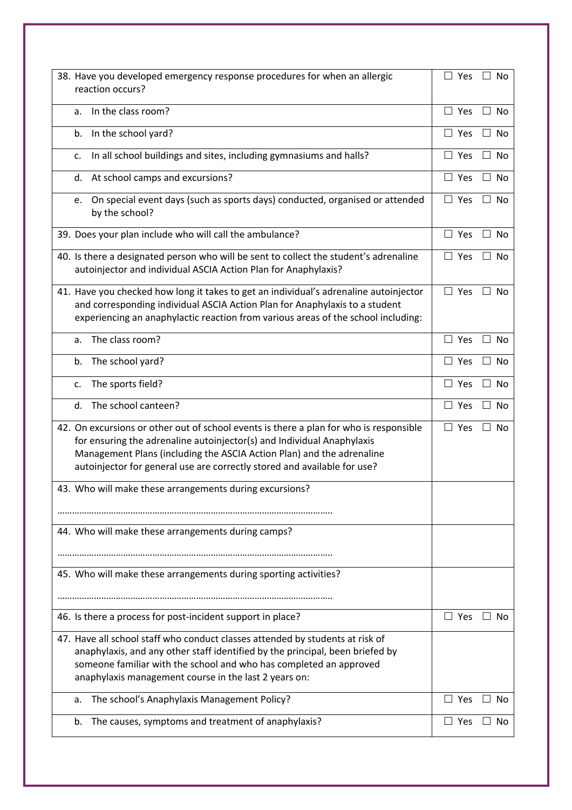| 38. Have you developed emergency response procedures for when an allergic<br>reaction occurs?                                                                                                                                                                                                                         | $\Box$ Yes<br>$\Box$ No              |
|-----------------------------------------------------------------------------------------------------------------------------------------------------------------------------------------------------------------------------------------------------------------------------------------------------------------------|--------------------------------------|
| In the class room?<br>a.                                                                                                                                                                                                                                                                                              | $\Box$ Yes<br>$\Box$ No              |
| In the school yard?<br>b.                                                                                                                                                                                                                                                                                             | $\Box$ Yes<br>$\Box$ No              |
| In all school buildings and sites, including gymnasiums and halls?<br>c.                                                                                                                                                                                                                                              | $\square$ Yes<br>No<br>$\mathbf{1}$  |
| At school camps and excursions?<br>d.                                                                                                                                                                                                                                                                                 | $\Box$ Yes<br>$\Box$ No              |
| On special event days (such as sports days) conducted, organised or attended<br>e.<br>by the school?                                                                                                                                                                                                                  | $\Box$ Yes<br>$\Box$ No              |
| 39. Does your plan include who will call the ambulance?                                                                                                                                                                                                                                                               | $\Box$ Yes<br>$\Box$<br>No           |
| 40. Is there a designated person who will be sent to collect the student's adrenaline<br>autoinjector and individual ASCIA Action Plan for Anaphylaxis?                                                                                                                                                               | $\Box$ Yes $\Box$ No                 |
| 41. Have you checked how long it takes to get an individual's adrenaline autoinjector<br>and corresponding individual ASCIA Action Plan for Anaphylaxis to a student<br>experiencing an anaphylactic reaction from various areas of the school including:                                                             | $\Box$ Yes $\Box$ No                 |
| The class room?<br>a.                                                                                                                                                                                                                                                                                                 | $\square$ Yes<br><b>No</b><br>$\Box$ |
| The school yard?<br>b.                                                                                                                                                                                                                                                                                                | $\Box$ Yes<br>No<br>$\Box$           |
| The sports field?<br>c.                                                                                                                                                                                                                                                                                               | $\Box$ Yes<br>$\Box$ No              |
| The school canteen?<br>d.                                                                                                                                                                                                                                                                                             | $\Box$ Yes<br>$\Box$ No              |
| 42. On excursions or other out of school events is there a plan for who is responsible<br>for ensuring the adrenaline autoinjector(s) and Individual Anaphylaxis<br>Management Plans (including the ASCIA Action Plan) and the adrenaline<br>autoinjector for general use are correctly stored and available for use? | $\Box$ Yes<br>No<br>$\Box$           |
| 43. Who will make these arrangements during excursions?                                                                                                                                                                                                                                                               |                                      |
|                                                                                                                                                                                                                                                                                                                       |                                      |
| 44. Who will make these arrangements during camps?                                                                                                                                                                                                                                                                    |                                      |
| 45. Who will make these arrangements during sporting activities?                                                                                                                                                                                                                                                      |                                      |
| 46. Is there a process for post-incident support in place?                                                                                                                                                                                                                                                            | $\Box$ Yes<br>Nο                     |
| 47. Have all school staff who conduct classes attended by students at risk of<br>anaphylaxis, and any other staff identified by the principal, been briefed by<br>someone familiar with the school and who has completed an approved<br>anaphylaxis management course in the last 2 years on:                         |                                      |
| The school's Anaphylaxis Management Policy?<br>a.                                                                                                                                                                                                                                                                     | Yes<br>Nο                            |
| The causes, symptoms and treatment of anaphylaxis?<br>b.                                                                                                                                                                                                                                                              | $\Box$ Yes<br>Nο                     |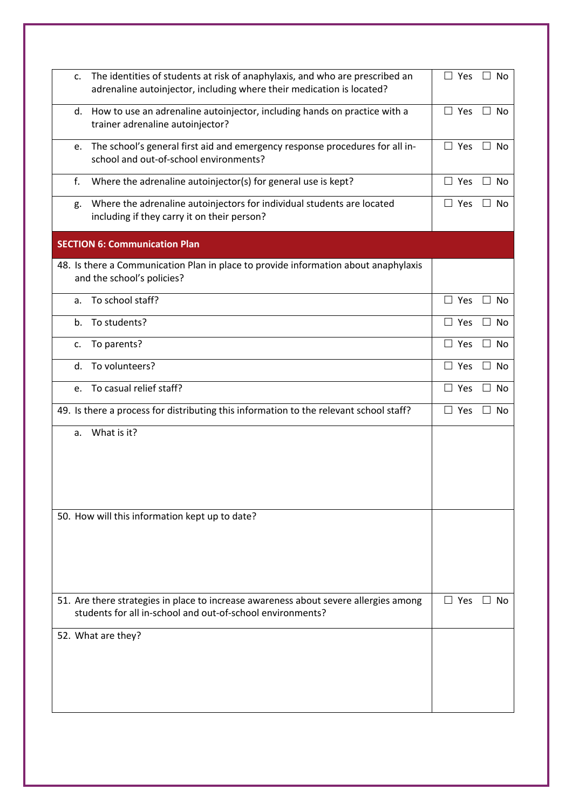| c. | The identities of students at risk of anaphylaxis, and who are prescribed an<br>adrenaline autoinjector, including where their medication is located? | $\Box$ Yes    | $\mathsf{L}$<br>No        |
|----|-------------------------------------------------------------------------------------------------------------------------------------------------------|---------------|---------------------------|
| d. | How to use an adrenaline autoinjector, including hands on practice with a<br>trainer adrenaline autoinjector?                                         | $\Box$ Yes    | $\Box$ No                 |
| e. | The school's general first aid and emergency response procedures for all in-<br>school and out-of-school environments?                                | $\Box$ Yes    | <b>No</b><br>$\mathsf{L}$ |
| f. | Where the adrenaline autoinjector(s) for general use is kept?                                                                                         | $\Box$ Yes    | $\Box$ No                 |
| g. | Where the adrenaline autoinjectors for individual students are located<br>including if they carry it on their person?                                 | $\Box$ Yes    | $\Box$ No                 |
|    | <b>SECTION 6: Communication Plan</b>                                                                                                                  |               |                           |
|    | 48. Is there a Communication Plan in place to provide information about anaphylaxis<br>and the school's policies?                                     |               |                           |
| a. | To school staff?                                                                                                                                      | $\Box$ Yes    | $\Box$ No                 |
| b. | To students?                                                                                                                                          | Yes<br>$\Box$ | No<br>$\mathsf{L}$        |
| c. | To parents?                                                                                                                                           | $\Box$ Yes    | <b>No</b>                 |
| d. | To volunteers?                                                                                                                                        | $\square$ Yes | <b>No</b><br>$\mathsf{L}$ |
| e. | To casual relief staff?                                                                                                                               | Yes           | $\Box$<br>No              |
|    | 49. Is there a process for distributing this information to the relevant school staff?                                                                | $\Box$ Yes    | No<br>$\perp$             |
| a. | What is it?                                                                                                                                           |               |                           |
|    | 50. How will this information kept up to date?                                                                                                        |               |                           |
|    | 51. Are there strategies in place to increase awareness about severe allergies among<br>students for all in-school and out-of-school environments?    | $\Box$ Yes    | $\Box$ No                 |
|    | 52. What are they?                                                                                                                                    |               |                           |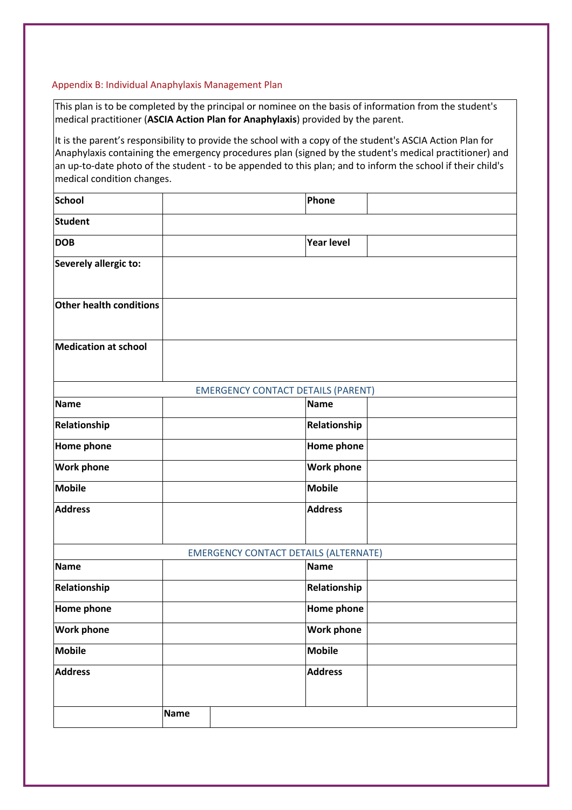#### Appendix B: Individual Anaphylaxis Management Plan

This plan is to be completed by the principal or nominee on the basis of information from the student's medical practitioner (**ASCIA Action Plan for Anaphylaxis**) provided by the parent.

It is the parent's responsibility to provide the school with a copy of the student's ASCIA Action Plan for Anaphylaxis containing the emergency procedures plan (signed by the student's medical practitioner) and an up-to-date photo of the student - to be appended to this plan; and to inform the school if their child's medical condition changes.

| School                      |             |                                              | Phone             |  |
|-----------------------------|-------------|----------------------------------------------|-------------------|--|
| Student                     |             |                                              |                   |  |
| <b>DOB</b>                  |             |                                              | <b>Year level</b> |  |
| Severely allergic to:       |             |                                              |                   |  |
| Other health conditions     |             |                                              |                   |  |
| <b>Medication at school</b> |             |                                              |                   |  |
|                             |             | <b>EMERGENCY CONTACT DETAILS (PARENT)</b>    |                   |  |
| <b>Name</b>                 |             |                                              | <b>Name</b>       |  |
| Relationship                |             |                                              | Relationship      |  |
| <b>Home phone</b>           |             |                                              | <b>Home phone</b> |  |
| <b>Work phone</b>           |             |                                              | <b>Work phone</b> |  |
| <b>Mobile</b>               |             |                                              | <b>Mobile</b>     |  |
| <b>Address</b>              |             |                                              | <b>Address</b>    |  |
|                             |             | <b>EMERGENCY CONTACT DETAILS (ALTERNATE)</b> |                   |  |
| <b>Name</b>                 |             |                                              | <b>Name</b>       |  |
| Relationship                |             |                                              | Relationship      |  |
| <b>Home phone</b>           |             |                                              | Home phone        |  |
| <b>Work phone</b>           |             |                                              | <b>Work phone</b> |  |
| <b>Mobile</b>               |             |                                              | <b>Mobile</b>     |  |
| <b>Address</b>              |             |                                              | <b>Address</b>    |  |
|                             | <b>Name</b> |                                              |                   |  |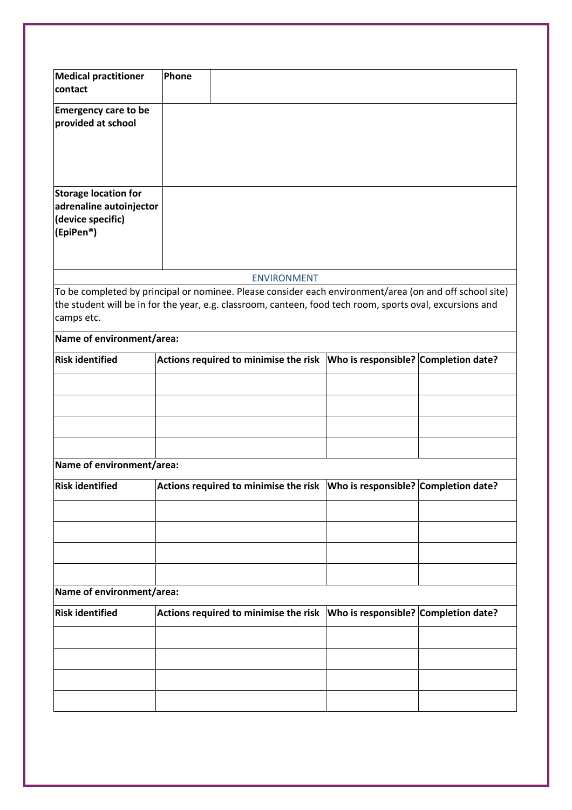| <b>Medical practitioner</b>                                                                                                                                                                                                        | Phone |                    |                                                                              |  |
|------------------------------------------------------------------------------------------------------------------------------------------------------------------------------------------------------------------------------------|-------|--------------------|------------------------------------------------------------------------------|--|
| contact                                                                                                                                                                                                                            |       |                    |                                                                              |  |
| <b>Emergency care to be</b><br>provided at school                                                                                                                                                                                  |       |                    |                                                                              |  |
| <b>Storage location for</b><br>adrenaline autoinjector<br>(device specific)<br>(EpiPen <sup>®</sup> )                                                                                                                              |       |                    |                                                                              |  |
|                                                                                                                                                                                                                                    |       | <b>ENVIRONMENT</b> |                                                                              |  |
| To be completed by principal or nominee. Please consider each environment/area (on and off school site)<br>the student will be in for the year, e.g. classroom, canteen, food tech room, sports oval, excursions and<br>camps etc. |       |                    |                                                                              |  |
| Name of environment/area:                                                                                                                                                                                                          |       |                    |                                                                              |  |
| <b>Risk identified</b>                                                                                                                                                                                                             |       |                    | Actions required to minimise the risk   Who is responsible? Completion date? |  |
|                                                                                                                                                                                                                                    |       |                    |                                                                              |  |
|                                                                                                                                                                                                                                    |       |                    |                                                                              |  |
|                                                                                                                                                                                                                                    |       |                    |                                                                              |  |
|                                                                                                                                                                                                                                    |       |                    |                                                                              |  |
| Name of environment/area:                                                                                                                                                                                                          |       |                    |                                                                              |  |
| <b>Risk identified</b>                                                                                                                                                                                                             |       |                    | Actions required to minimise the risk   Who is responsible? Completion date? |  |
|                                                                                                                                                                                                                                    |       |                    |                                                                              |  |
|                                                                                                                                                                                                                                    |       |                    |                                                                              |  |
|                                                                                                                                                                                                                                    |       |                    |                                                                              |  |
|                                                                                                                                                                                                                                    |       |                    |                                                                              |  |
| Name of environment/area:                                                                                                                                                                                                          |       |                    |                                                                              |  |
| <b>Risk identified</b>                                                                                                                                                                                                             |       |                    | Actions required to minimise the risk   Who is responsible? Completion date? |  |
|                                                                                                                                                                                                                                    |       |                    |                                                                              |  |
|                                                                                                                                                                                                                                    |       |                    |                                                                              |  |
|                                                                                                                                                                                                                                    |       |                    |                                                                              |  |
|                                                                                                                                                                                                                                    |       |                    |                                                                              |  |
|                                                                                                                                                                                                                                    |       |                    |                                                                              |  |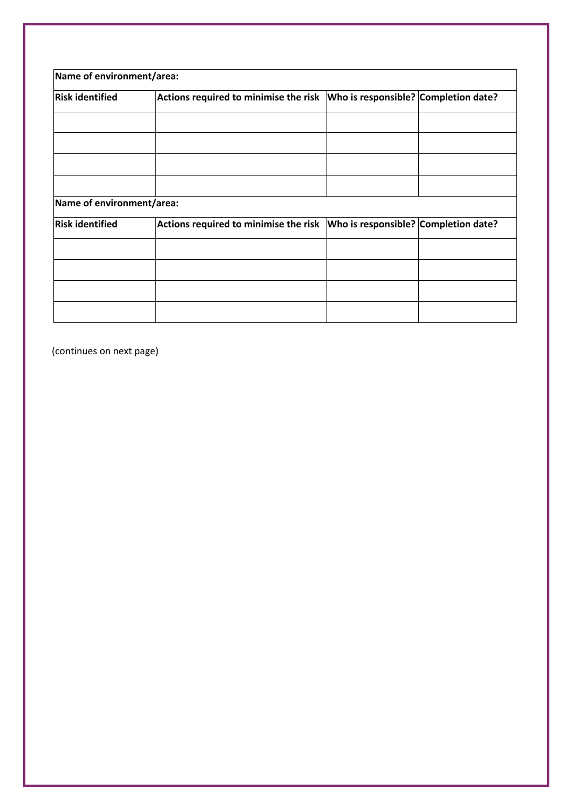| Name of environment/area: |                                                                              |  |  |  |  |
|---------------------------|------------------------------------------------------------------------------|--|--|--|--|
| <b>Risk identified</b>    | Actions required to minimise the risk   Who is responsible? Completion date? |  |  |  |  |
|                           |                                                                              |  |  |  |  |
|                           |                                                                              |  |  |  |  |
|                           |                                                                              |  |  |  |  |
| Name of environment/area: |                                                                              |  |  |  |  |
|                           |                                                                              |  |  |  |  |
| <b>Risk identified</b>    | Actions required to minimise the risk   Who is responsible? Completion date? |  |  |  |  |
|                           |                                                                              |  |  |  |  |
|                           |                                                                              |  |  |  |  |
|                           |                                                                              |  |  |  |  |
|                           |                                                                              |  |  |  |  |

(continues on next page)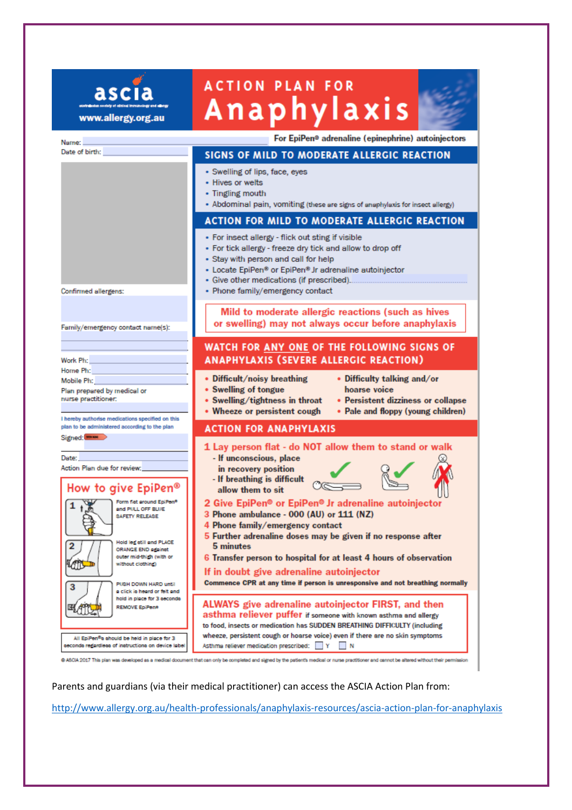# **ACTION PLAN FOR Anaphylaxis**

ascia

www.allergy.org.au



| Name:                                                                                                                                                                     | For EpiPen® adrenaline (epinephrine) autoinjectors                                                                                                                                                                                                                                                 |
|---------------------------------------------------------------------------------------------------------------------------------------------------------------------------|----------------------------------------------------------------------------------------------------------------------------------------------------------------------------------------------------------------------------------------------------------------------------------------------------|
| Date of birth:                                                                                                                                                            | SIGNS OF MILD TO MODERATE ALLERGIC REACTION                                                                                                                                                                                                                                                        |
|                                                                                                                                                                           | • Swelling of lips, face, eyes<br>- Hives or welts<br>• Tingling mouth<br>• Abdominal pain, vomiting (these are signs of anaphylaxis for insect allergy)                                                                                                                                           |
|                                                                                                                                                                           | <b>ACTION FOR MILD TO MODERATE ALLERGIC REACTION</b>                                                                                                                                                                                                                                               |
| Confirmed allergens:                                                                                                                                                      | • For insect allergy - flick out sting if visible<br>• For tick allergy - freeze dry tick and allow to drop off<br>• Stay with person and call for help<br>• Locate EpiPen® or EpiPen® Jr adrenaline autoinjector<br>• Give other medications (if prescribed).<br>• Phone family/emergency contact |
| Family/emergency contact name(s):                                                                                                                                         | Mild to moderate allergic reactions (such as hives<br>or swelling) may not always occur before anaphylaxis                                                                                                                                                                                         |
|                                                                                                                                                                           | WATCH FOR ANY ONE OF THE FOLLOWING SIGNS OF                                                                                                                                                                                                                                                        |
| Work Ph:                                                                                                                                                                  | <b>ANAPHYLAXIS (SEVERE ALLERGIC REACTION)</b>                                                                                                                                                                                                                                                      |
| Home Ph:                                                                                                                                                                  |                                                                                                                                                                                                                                                                                                    |
| Mobile Ph:<br>Plan prepared by medical or<br>nurse practitioner.<br>I hereby authorise medications specified on this                                                      | • Difficult/noisy breathing<br>• Difficulty talking and/or<br>• Swelling of tongue<br>hoarse voice<br>• Persistent dizziness or collapse<br>• Swelling/tightness in throat<br>• Wheeze or persistent cough<br>• Pale and floppy (young children)                                                   |
| plan to be administered according to the plan                                                                                                                             | <b>ACTION FOR ANAPHYLAXIS</b>                                                                                                                                                                                                                                                                      |
| Signed: <b>House</b><br>Date:<br>Action Plan due for review:<br>How to give EpiPen®                                                                                       | 1 Lay person flat - do NOT allow them to stand or walk<br>- If unconscious, place<br>in recovery position<br>- If breathing is difficult<br>allow them to sit                                                                                                                                      |
| Form fiet around EpiPen®<br>and PULL OFF BLUE<br><b>SAFETY RELEASE</b><br>Hold leg etill and PLACE<br>ORANGE END against<br>outer mid-thigh (with or<br>without clothing) | 2 Give EpiPen® or EpiPen® Jr adrenaline autoinjector<br>3 Phone ambulance - 000 (AU) or 111 (NZ)<br>4 Phone family/emergency contact<br>5 Further adrenaline doses may be given if no response after<br>5 minutes<br>6 Transfer person to hospital for at least 4 hours of observation             |
| <b>Letter</b><br>PUSH DOWN HARD until<br>3<br>a click is heard or felt and<br>hold in place for 3 eeconde                                                                 | If in doubt give adrenaline autoinjector<br>Commence CPR at any time if person is unresponsive and not breathing normally<br><b>ALWAYS</b> give adrenaline autoinjector FIRST, and then                                                                                                            |
| Æ<br>REMOVE EpiPen®<br>All EpiPen®s should be held in place for 3<br>eeconde regardlees of instructions on device label                                                   | asthma reliever puffer if someone with known asthma and allergy<br>to food, insects or medication has SUDDEN BREATHING DIFFICULTY (including<br>wheeze, persistent cough or hoarse voice) even if there are no skin symptoms<br>Asthma reliever medication prescribed: Y N                         |

@ ASCIA 2017 This plan was developed as a medical document that can only be completed and signed by the patient's medical or nurse practitioner and cannot be altered without their permission

Parents and guardians (via their medical practitioner) can access the ASCIA Action Plan from:

http://www.allergy.org.au/health-professionals/anaphylaxis-resources/ascia-action-plan-for-anaphylaxis